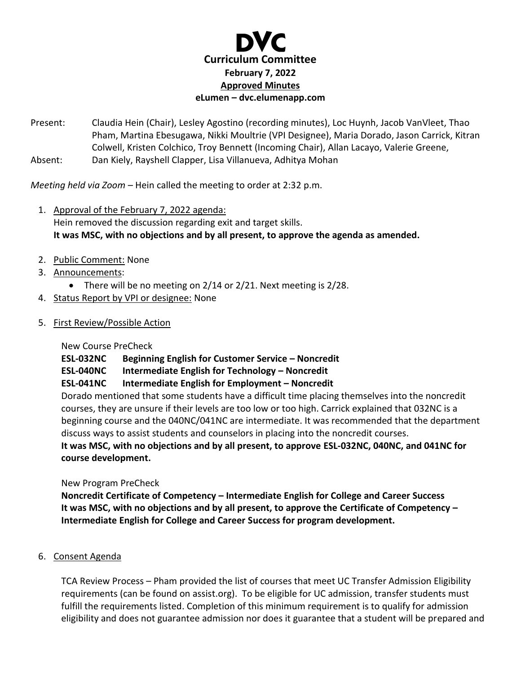

Present: Claudia Hein (Chair), Lesley Agostino (recording minutes), Loc Huynh, Jacob VanVleet, Thao Pham, Martina Ebesugawa, Nikki Moultrie (VPI Designee), Maria Dorado, Jason Carrick, Kitran Colwell, Kristen Colchico, Troy Bennett (Incoming Chair), Allan Lacayo, Valerie Greene, Absent: Dan Kiely, Rayshell Clapper, Lisa Villanueva, Adhitya Mohan

*Meeting held via Zoom –* Hein called the meeting to order at 2:32 p.m.

- 1. Approval of the February 7, 2022 agenda: Hein removed the discussion regarding exit and target skills. **It was MSC, with no objections and by all present, to approve the agenda as amended.**
- 2. Public Comment: None
- 3. Announcements:
	- There will be no meeting on 2/14 or 2/21. Next meeting is 2/28.
- 4. Status Report by VPI or designee: None
- 5. First Review/Possible Action

New Course PreCheck

**ESL-032NC Beginning English for Customer Service – Noncredit**

**ESL-040NC Intermediate English for Technology – Noncredit**

**ESL-041NC Intermediate English for Employment – Noncredit**

Dorado mentioned that some students have a difficult time placing themselves into the noncredit courses, they are unsure if their levels are too low or too high. Carrick explained that 032NC is a beginning course and the 040NC/041NC are intermediate. It was recommended that the department discuss ways to assist students and counselors in placing into the noncredit courses. **It was MSC, with no objections and by all present, to approve ESL-032NC, 040NC, and 041NC for course development.** 

New Program PreCheck

**Noncredit Certificate of Competency – Intermediate English for College and Career Success It was MSC, with no objections and by all present, to approve the Certificate of Competency – Intermediate English for College and Career Success for program development.** 

6. Consent Agenda

TCA Review Process – Pham provided the list of courses that meet UC Transfer Admission Eligibility requirements (can be found on assist.org). To be eligible for UC admission, transfer students must fulfill the requirements listed. Completion of this minimum requirement is to qualify for admission eligibility and does not guarantee admission nor does it guarantee that a student will be prepared and